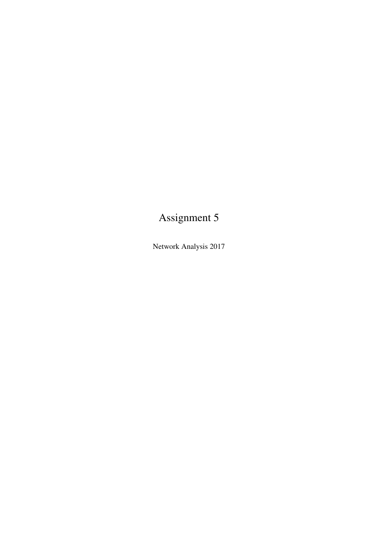# Assignment 5

Network Analysis 2017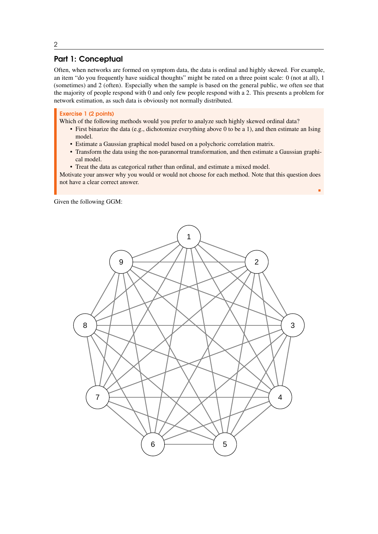# Part 1: Conceptual

Often, when networks are formed on symptom data, the data is ordinal and highly skewed. For example, an item "do you frequently have suidical thoughts" might be rated on a three point scale: 0 (not at all), 1 (sometimes) and 2 (often). Especially when the sample is based on the general public, we often see that the majority of people respond with 0 and only few people respond with a 2. This presents a problem for network estimation, as such data is obviously not normally distributed.

### Exercise 1 (2 points)

Which of the following methods would you prefer to analyze such highly skewed ordinal data?

- First binarize the data (e.g., dichotomize everything above 0 to be a 1), and then estimate an Ising model.
- Estimate a Gaussian graphical model based on a polychoric correlation matrix.
- Transform the data using the non-paranormal transformation, and then estimate a Gaussian graphical model.
- Treat the data as categorical rather than ordinal, and estimate a mixed model.

Motivate your answer why you would or would not choose for each method. Note that this question does not have a clear correct answer.

г

Given the following GGM:



2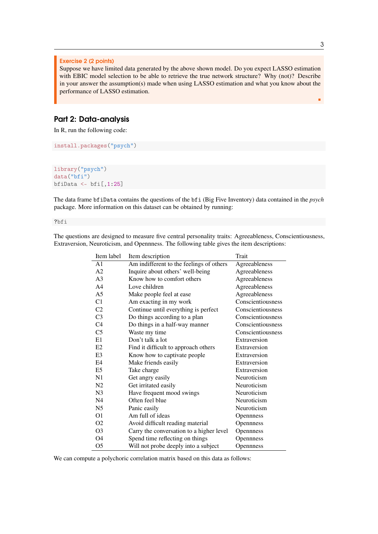#### Exercise 2 (2 points)

Suppose we have limited data generated by the above shown model. Do you expect LASSO estimation with EBIC model selection to be able to retrieve the true network structure? Why (not)? Describe in your answer the assumption(s) made when using LASSO estimation and what you know about the performance of LASSO estimation.

# Part 2: Data-analysis

In R, run the following code:

```
install.packages("psych")
```

```
library("psych")
data("bfi")
bfiData \le- bfi[,1:25]
```
The data frame bfiData contains the questions of the bfi (Big Five Inventory) data contained in the *psych* package. More information on this dataset can be obtained by running:

?bfi

| Item label     | Item description                         | Trait             |
|----------------|------------------------------------------|-------------------|
| A <sub>1</sub> | Am indifferent to the feelings of others | Agreeableness     |
| A2             | Inquire about others' well-being         | Agreeableness     |
| A <sup>3</sup> | Know how to comfort others               | Agreeableness     |
| A <sub>4</sub> | Love children                            | Agreeableness     |
| A <sub>5</sub> | Make people feel at ease                 | Agreeableness     |
| C1             | Am exacting in my work                   | Conscientiousness |
| C <sub>2</sub> | Continue until everything is perfect     | Conscientiousness |
| C <sub>3</sub> | Do things according to a plan            | Conscientiousness |
| C <sub>4</sub> | Do things in a half-way manner           | Conscientiousness |
| C <sub>5</sub> | Waste my time                            | Conscientiousness |
| E1             | Don't talk a lot                         | Extraversion      |
| E2             | Find it difficult to approach others     | Extraversion      |
| E <sub>3</sub> | Know how to captivate people             | Extraversion      |
| E4             | Make friends easily                      | Extraversion      |
| E <sub>5</sub> | Take charge                              | Extraversion      |
| N <sub>1</sub> | Get angry easily                         | Neuroticism       |
| N <sub>2</sub> | Get irritated easily                     | Neuroticism       |
| N <sub>3</sub> | Have frequent mood swings                | Neuroticism       |
| N <sub>4</sub> | Often feel blue                          | Neuroticism       |
| N <sub>5</sub> | Panic easily                             | Neuroticism       |
| O <sub>1</sub> | Am full of ideas                         | Opennness         |
| O <sub>2</sub> | Avoid difficult reading material         | Opennness         |
| O <sub>3</sub> | Carry the conversation to a higher level | Opennness         |
| O4             | Spend time reflecting on things          | Opennness         |
| O5             | Will not probe deeply into a subject     | <b>Opennness</b>  |

The questions are designed to measure five central personality traits: Agreeableness, Conscientiousness, Extraversion, Neuroticism, and Opennness. The following table gives the item descriptions:

We can compute a polychoric correlation matrix based on this data as follows:

٠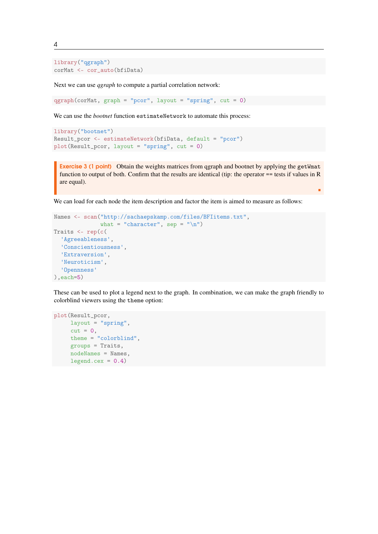library("qgraph") corMat <- cor\_auto(bfiData)

Next we can use *qgraph* to compute a partial correlation network:

 $qgraph(corMat, graph = "pcor", layout = "spring", cut = 0)$ 

We can use the *bootnet* function estimateNetwork to automate this process:

```
library("bootnet")
Result_pcor <- estimateNetwork(bfiData, default = "pcor")
plot(Result_pcor, layout = "spring", cut = 0)
```
Exercise 3 (1 point) Obtain the weights matrices from qgraph and bootnet by applying the getWmat function to output of both. Confirm that the results are identical (tip: the operator == tests if values in R are equal).

г

We can load for each node the item description and factor the item is aimed to measure as follows:

```
Names <- scan("http://sachaepskamp.com/files/BFIitems.txt",
              what = "character", sep = "\ln")
Traits <- rep(c(
  'Agreeableness',
  'Conscientiousness',
  'Extraversion',
  'Neuroticism',
  'Opennness'
),each=5)
```
These can be used to plot a legend next to the graph. In combination, we can make the graph friendly to colorblind viewers using the theme option:

```
plot(Result_pcor,
    layout = "spring",
     cut = 0,
    theme = "colorblind",
     groups = Traits,
    nodeNames = Names,
    legent.cex = 0.4
```
4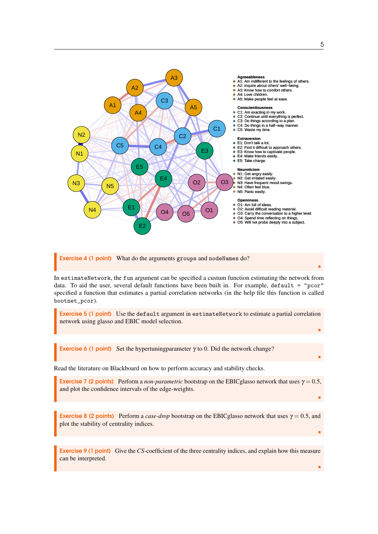

Exercise 4 (1 point) What do the arguments groups and nodeNames do?

In estimateNetwork, the fun argument can be specified a custum function estimating the network from data. To aid the user, several default functions have been built in. For example, default = "pcor" specified a function that estimates a partial correlation networks (in the help file this function is called bootnet\_pcor).

Exercise 5 (1 point) Use the default argument in estimateNetwork to estimate a partial correlation network using glasso and EBIC model selection.

**Exercise 6 (1 point)** Set the hypertuning parameter  $\gamma$  to 0. Did the network change?

Read the literature on Blackboard on how to perform accuracy and stability checks.

**Exercise 7 (2 points)** Perform a *non-parametric* bootstrap on the EBICglasso network that uses  $\gamma = 0.5$ , and plot the confidence intervals of the edge-weights.

**Exercise 8 (2 points)** Perform a *case-drop* bootstrap on the EBICglasso network that uses  $\gamma = 0.5$ , and plot the stability of centrality indices.

Exercise 9 (1 point) Give the*CS*-coefficient of the three centrality indices, and explain how this measure can be interpreted.

٠

٠

٠

п

п

п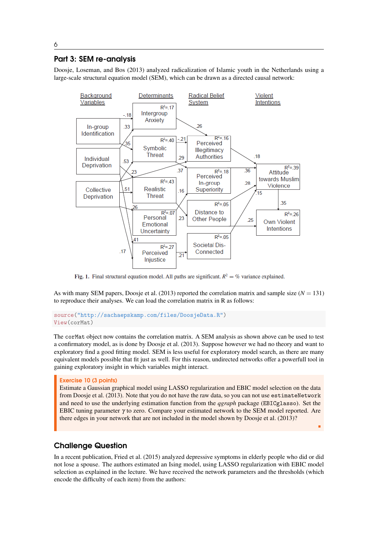# Part 3: SEM re-analysis

[Doosje, Loseman, and Bos](#page-7-0) [\(2013\)](#page-7-0) analyzed radicalization of Islamic youth in the Netherlands using a large-scale structural equation model (SEM), which can be drawn as a directed causal network:



Fig. 1. Final structural equation model. All paths are significant.  $R^2 = \%$  variance explained.

As with many SEM papers, [Doosje et al.](#page-7-0) [\(2013\)](#page-7-0) reported the correlation matrix and sample size  $(N = 131)$ to reproduce their analyses. We can load the correlation matrix in R as follows:

#### source("http://sachaepskamp.com/files/DoosjeData.R") View(corMat)

The corMat object now contains the correlation matrix. A SEM analysis as shown above can be used to test a confirmatory model, as is done by [Doosje et al.](#page-7-0) [\(2013\)](#page-7-0). Suppose however we had no theory and want to exploratory find a good fitting model. SEM is less useful for exploratory model search, as there are many equivalent models possible that fit just as well. For this reason, undirected networks offer a powerfull tool in gaining exploratory insight in which variables might interact.

#### Exercise 10 (3 points)

Estimate a Gaussian graphical model using LASSO regularization and EBIC model selection on the data from [Doosje et al.](#page-7-0) [\(2013\)](#page-7-0). Note that you do not have the raw data, so you can not use estimateNetwork and need to use the underlying estimation function from the *qgraph* package (EBICglasso). Set the EBIC tuning parameter  $\gamma$  to zero. Compare your estimated network to the SEM model reported. Are there edges in your network that are not included in the model shown by [Doosje et al.](#page-7-0) [\(2013\)](#page-7-0)?

٠

# Challenge Question

In a recent publication, [Fried et al.](#page-7-1) [\(2015\)](#page-7-1) analyzed depressive symptoms in elderly people who did or did not lose a spouse. The authors estimated an Ising model, using LASSO regularization with EBIC model selection as explained in the lecture. We have received the network parameters and the thresholds (which encode the difficulty of each item) from the authors: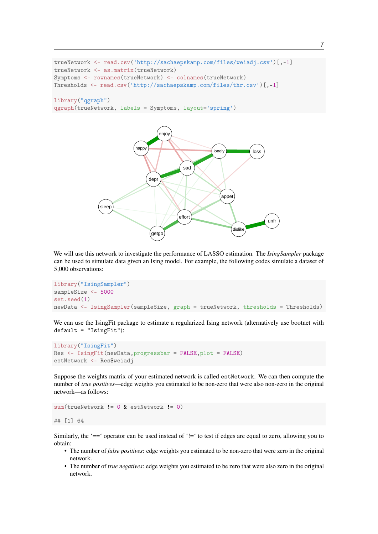```
trueNetwork <- read.csv('http://sachaepskamp.com/files/weiadj.csv')[,-1]
trueNetwork <- as.matrix(trueNetwork)
Symptoms <- rownames(trueNetwork) <- colnames(trueNetwork)
Thresholds <- read.csv('http://sachaepskamp.com/files/thr.csv')[,-1]
```
# library("qgraph")

qgraph(trueNetwork, labels = Symptoms, layout='spring')



We will use this network to investigate the performance of LASSO estimation. The *IsingSampler* package can be used to simulate data given an Ising model. For example, the following codes simulate a dataset of 5,000 observations:

```
library("IsingSampler")
sampleSize <- 5000
set.seed(1)
newData <- IsingSampler(sampleSize, graph = trueNetwork, thresholds = Thresholds)
```
We can use the IsingFit package to estimate a regularized Ising network (alternatively use bootnet with  $default = "IsingFit")$ :

```
library("IsingFit")
Res <- IsingFit(newData,progressbar = FALSE,plot = FALSE)
estNetwork <- Res$weiadj
```
Suppose the weights matrix of your estimated network is called estNetwork. We can then compute the number of *true positives*—edge weights you estimated to be non-zero that were also non-zero in the original network—as follows:

```
sum(trueNetwork != 0 & estNetwork != 0)
```
## [1] 64

Similarly, the '==' operator can be used instead of '!=' to test if edges are equal to zero, allowing you to obtain:

- The number of *false positives*: edge weights you estimated to be non-zero that were zero in the original network.
- The number of *true negatives*: edge weights you estimated to be zero that were also zero in the original network.